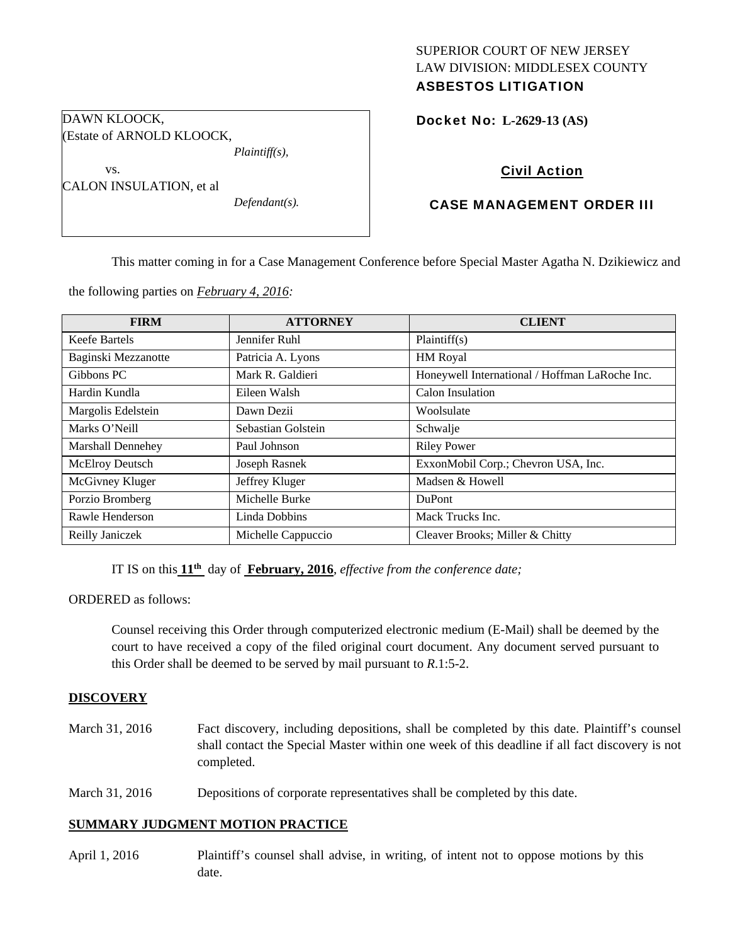# SUPERIOR COURT OF NEW JERSEY LAW DIVISION: MIDDLESEX COUNTY ASBESTOS LITIGATION

Docket No: **L-2629-13 (AS)** 

# Civil Action

## CASE MANAGEMENT ORDER III

This matter coming in for a Case Management Conference before Special Master Agatha N. Dzikiewicz and

the following parties on *February 4, 2016:* 

*Plaintiff(s),* 

*Defendant(s).* 

DAWN KLOOCK,

vs.

(Estate of ARNOLD KLOOCK,

CALON INSULATION, et al

| <b>FIRM</b>         | <b>ATTORNEY</b>    | <b>CLIENT</b>                                  |
|---------------------|--------------------|------------------------------------------------|
| Keefe Bartels       | Jennifer Ruhl      | Plaintiff(s)                                   |
| Baginski Mezzanotte | Patricia A. Lyons  | HM Royal                                       |
| Gibbons PC          | Mark R. Galdieri   | Honeywell International / Hoffman LaRoche Inc. |
| Hardin Kundla       | Eileen Walsh       | Calon Insulation                               |
| Margolis Edelstein  | Dawn Dezii         | Woolsulate                                     |
| Marks O'Neill       | Sebastian Golstein | Schwalje                                       |
| Marshall Dennehey   | Paul Johnson       | <b>Riley Power</b>                             |
| McElroy Deutsch     | Joseph Rasnek      | ExxonMobil Corp.; Chevron USA, Inc.            |
| McGivney Kluger     | Jeffrey Kluger     | Madsen & Howell                                |
| Porzio Bromberg     | Michelle Burke     | <b>DuPont</b>                                  |
| Rawle Henderson     | Linda Dobbins      | Mack Trucks Inc.                               |
| Reilly Janiczek     | Michelle Cappuccio | Cleaver Brooks; Miller & Chitty                |

IT IS on this **11th** day of **February, 2016**, *effective from the conference date;*

ORDERED as follows:

Counsel receiving this Order through computerized electronic medium (E-Mail) shall be deemed by the court to have received a copy of the filed original court document. Any document served pursuant to this Order shall be deemed to be served by mail pursuant to *R*.1:5-2.

#### **DISCOVERY**

- March 31, 2016 Fact discovery, including depositions, shall be completed by this date. Plaintiff's counsel shall contact the Special Master within one week of this deadline if all fact discovery is not completed.
- March 31, 2016 Depositions of corporate representatives shall be completed by this date.

#### **SUMMARY JUDGMENT MOTION PRACTICE**

April 1, 2016 Plaintiff's counsel shall advise, in writing, of intent not to oppose motions by this date.